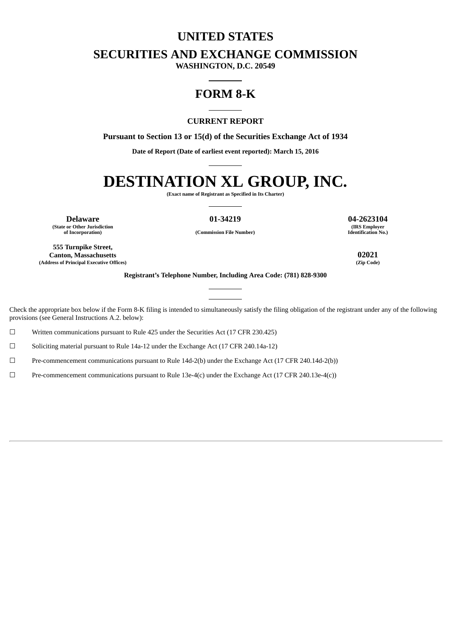### **UNITED STATES**

**SECURITIES AND EXCHANGE COMMISSION**

**WASHINGTON, D.C. 20549**

## **FORM 8-K**

#### **CURRENT REPORT**

**Pursuant to Section 13 or 15(d) of the Securities Exchange Act of 1934**

**Date of Report (Date of earliest event reported): March 15, 2016**

# **DESTINATION XL GROUP, INC.**

**(Exact name of Registrant as Specified in Its Charter)**

**Delaware 01-34219 04-2623104 (State or Other Jurisdiction**

**(IRS Employer Identification No.)**

**of Incorporation) (Commission File Number)**

**555 Turnpike Street, Canton, Massachusetts 02021 (Address of Principal Executive Offices) (Zip Code)**

**Registrant's Telephone Number, Including Area Code: (781) 828-9300**

Check the appropriate box below if the Form 8-K filing is intended to simultaneously satisfy the filing obligation of the registrant under any of the following provisions (see General Instructions A.2. below):

 $\Box$  Written communications pursuant to Rule 425 under the Securities Act (17 CFR 230.425)

☐ Soliciting material pursuant to Rule 14a-12 under the Exchange Act (17 CFR 240.14a-12)

☐ Pre-commencement communications pursuant to Rule 14d-2(b) under the Exchange Act (17 CFR 240.14d-2(b))

 $\square$  Pre-commencement communications pursuant to Rule 13e-4(c) under the Exchange Act (17 CFR 240.13e-4(c))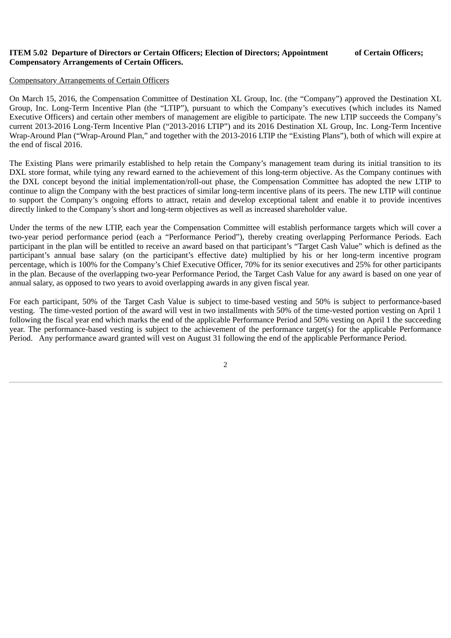### **ITEM 5.02 Departure of Directors or Certain Officers; Election of Directors; Appointment of Certain Officers; Compensatory Arrangements of Certain Officers.**

#### Compensatory Arrangements of Certain Officers

On March 15, 2016, the Compensation Committee of Destination XL Group, Inc. (the "Company") approved the Destination XL Group, Inc. Long-Term Incentive Plan (the "LTIP"), pursuant to which the Company's executives (which includes its Named Executive Officers) and certain other members of management are eligible to participate. The new LTIP succeeds the Company's current 2013-2016 Long-Term Incentive Plan ("2013-2016 LTIP") and its 2016 Destination XL Group, Inc. Long-Term Incentive Wrap-Around Plan ("Wrap-Around Plan," and together with the 2013-2016 LTIP the "Existing Plans"), both of which will expire at the end of fiscal 2016.

The Existing Plans were primarily established to help retain the Company's management team during its initial transition to its DXL store format, while tying any reward earned to the achievement of this long-term objective. As the Company continues with the DXL concept beyond the initial implementation/roll-out phase, the Compensation Committee has adopted the new LTIP to continue to align the Company with the best practices of similar long-term incentive plans of its peers. The new LTIP will continue to support the Company's ongoing efforts to attract, retain and develop exceptional talent and enable it to provide incentives directly linked to the Company's short and long-term objectives as well as increased shareholder value.

Under the terms of the new LTIP, each year the Compensation Committee will establish performance targets which will cover a two-year period performance period (each a "Performance Period"), thereby creating overlapping Performance Periods. Each participant in the plan will be entitled to receive an award based on that participant's "Target Cash Value" which is defined as the participant's annual base salary (on the participant's effective date) multiplied by his or her long-term incentive program percentage, which is 100% for the Company's Chief Executive Officer, 70% for its senior executives and 25% for other participants in the plan. Because of the overlapping two-year Performance Period, the Target Cash Value for any award is based on one year of annual salary, as opposed to two years to avoid overlapping awards in any given fiscal year.

For each participant, 50% of the Target Cash Value is subject to time-based vesting and 50% is subject to performance-based vesting. The time-vested portion of the award will vest in two installments with 50% of the time-vested portion vesting on April 1 following the fiscal year end which marks the end of the applicable Performance Period and 50% vesting on April 1 the succeeding year. The performance-based vesting is subject to the achievement of the performance target(s) for the applicable Performance Period. Any performance award granted will vest on August 31 following the end of the applicable Performance Period.

<sup>2</sup>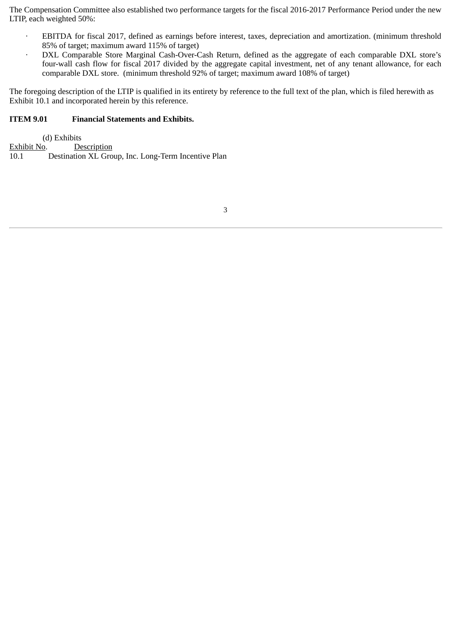The Compensation Committee also established two performance targets for the fiscal 2016-2017 Performance Period under the new LTIP, each weighted 50%:

- · EBITDA for fiscal 2017, defined as earnings before interest, taxes, depreciation and amortization. (minimum threshold 85% of target; maximum award 115% of target)
- DXL Comparable Store Marginal Cash-Over-Cash Return, defined as the aggregate of each comparable DXL store's four-wall cash flow for fiscal 2017 divided by the aggregate capital investment, net of any tenant allowance, for each comparable DXL store. (minimum threshold 92% of target; maximum award 108% of target)

The foregoing description of the LTIP is qualified in its entirety by reference to the full text of the plan, which is filed herewith as Exhibit 10.1 and incorporated herein by this reference.

### **ITEM 9.01 Financial Statements and Exhibits.**

(d) Exhibits<br>Exhibit No. De Description 10.1 Destination XL Group, Inc. Long-Term Incentive Plan

3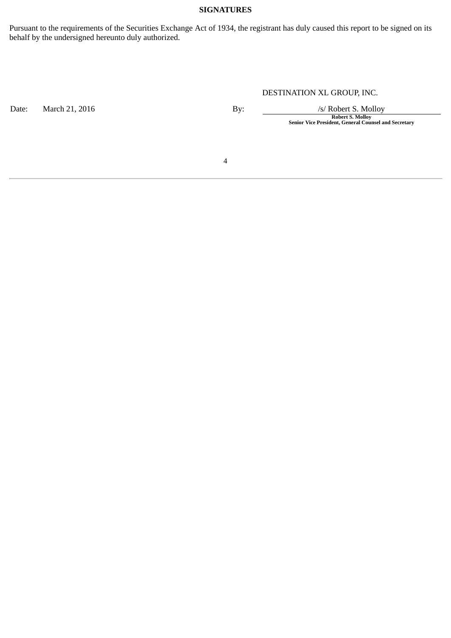### **SIGNATURES**

Pursuant to the requirements of the Securities Exchange Act of 1934, the registrant has duly caused this report to be signed on its behalf by the undersigned hereunto duly authorized.

### DESTINATION XL GROUP, INC.

Date: March 21, 2016 **By:** By: /s/ Robert S. Molloy

**Robert S. Molloy Senior Vice President, General Counsel and Secretary**

4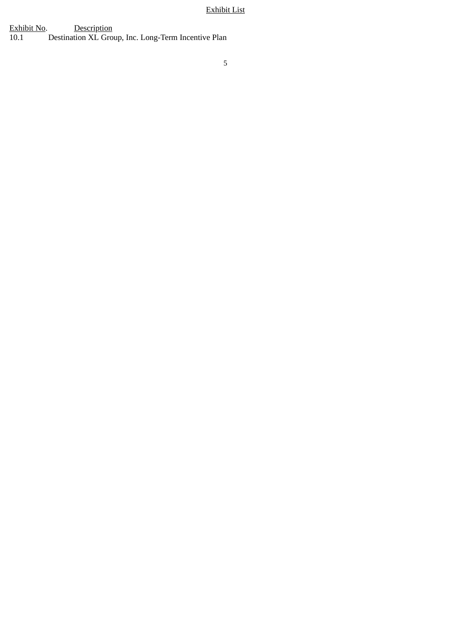### Exhibit List

Exhibit No. Description 10.1 Destination XL Group, Inc. Long-Term Incentive Plan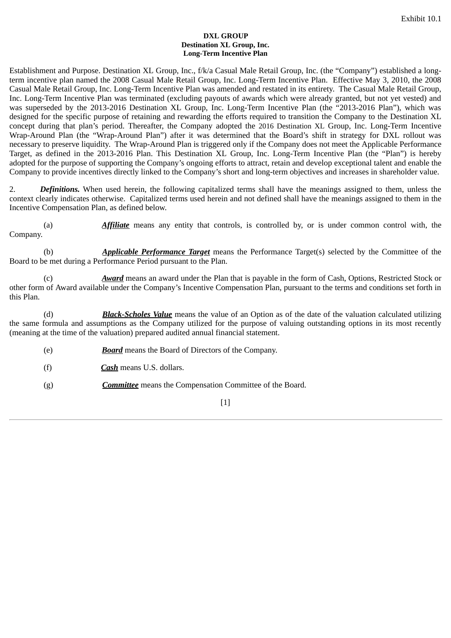#### **DXL GROUP Destination XL Group, Inc. Long-Term Incentive Plan**

Establishment and Purpose. Destination XL Group, Inc., f/k/a Casual Male Retail Group, Inc. (the "Company") established a longterm incentive plan named the 2008 Casual Male Retail Group, Inc. Long-Term Incentive Plan. Effective May 3, 2010, the 2008 Casual Male Retail Group, Inc. Long-Term Incentive Plan was amended and restated in its entirety. The Casual Male Retail Group, Inc. Long-Term Incentive Plan was terminated (excluding payouts of awards which were already granted, but not yet vested) and was superseded by the 2013-2016 Destination XL Group, Inc. Long-Term Incentive Plan (the "2013-2016 Plan"), which was designed for the specific purpose of retaining and rewarding the efforts required to transition the Company to the Destination XL concept during that plan's period. Thereafter, the Company adopted the 2016 Destination XL Group, Inc. Long-Term Incentive Wrap-Around Plan (the "Wrap-Around Plan") after it was determined that the Board's shift in strategy for DXL rollout was necessary to preserve liquidity. The Wrap-Around Plan is triggered only if the Company does not meet the Applicable Performance Target, as defined in the 2013-2016 Plan. This Destination XL Group, Inc. Long-Term Incentive Plan (the "Plan") is hereby adopted for the purpose of supporting the Company's ongoing efforts to attract, retain and develop exceptional talent and enable the Company to provide incentives directly linked to the Company's short and long-term objectives and increases in shareholder value.

2. *Definitions.* When used herein, the following capitalized terms shall have the meanings assigned to them, unless the context clearly indicates otherwise. Capitalized terms used herein and not defined shall have the meanings assigned to them in the Incentive Compensation Plan, as defined below.

(a) *Affiliate* means any entity that controls, is controlled by, or is under common control with, the Company.

(b) *Applicable Performance Target* means the Performance Target(s) selected by the Committee of the Board to be met during a Performance Period pursuant to the Plan.

(c) *Award* means an award under the Plan that is payable in the form of Cash, Options, Restricted Stock or other form of Award available under the Company's Incentive Compensation Plan, pursuant to the terms and conditions set forth in this Plan.

(d) *Black-Scholes Value* means the value of an Option as of the date of the valuation calculated utilizing the same formula and assumptions as the Company utilized for the purpose of valuing outstanding options in its most recently (meaning at the time of the valuation) prepared audited annual financial statement.

- (e) *Board* means the Board of Directors of the Company.
- (f) *Cash* means U.S. dollars.
- (g) *Committee* means the Compensation Committee of the Board.

 $[1]$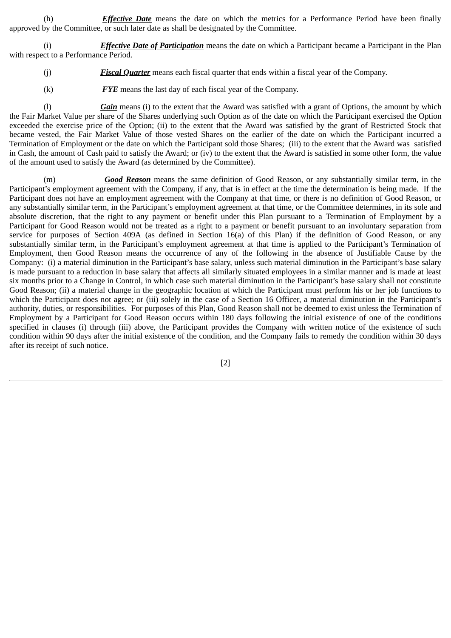(h) *Effective Date* means the date on which the metrics for a Performance Period have been finally approved by the Committee, or such later date as shall be designated by the Committee.

(i) *Effective Date of Participation* means the date on which a Participant became a Participant in the Plan with respect to a Performance Period.

- (j) *Fiscal Quarter* means each fiscal quarter that ends within a fiscal year of the Company.
- (k) *FYE* means the last day of each fiscal year of the Company.

(l) *Gain* means (i) to the extent that the Award was satisfied with a grant of Options, the amount by which the Fair Market Value per share of the Shares underlying such Option as of the date on which the Participant exercised the Option exceeded the exercise price of the Option; (ii) to the extent that the Award was satisfied by the grant of Restricted Stock that became vested, the Fair Market Value of those vested Shares on the earlier of the date on which the Participant incurred a Termination of Employment or the date on which the Participant sold those Shares; (iii) to the extent that the Award was satisfied in Cash, the amount of Cash paid to satisfy the Award; or (iv) to the extent that the Award is satisfied in some other form, the value of the amount used to satisfy the Award (as determined by the Committee).

(m) *Good Reason* means the same definition of Good Reason, or any substantially similar term, in the Participant's employment agreement with the Company, if any, that is in effect at the time the determination is being made. If the Participant does not have an employment agreement with the Company at that time, or there is no definition of Good Reason, or any substantially similar term, in the Participant's employment agreement at that time, or the Committee determines, in its sole and absolute discretion, that the right to any payment or benefit under this Plan pursuant to a Termination of Employment by a Participant for Good Reason would not be treated as a right to a payment or benefit pursuant to an involuntary separation from service for purposes of Section 409A (as defined in Section 16(a) of this Plan) if the definition of Good Reason, or any substantially similar term, in the Participant's employment agreement at that time is applied to the Participant's Termination of Employment, then Good Reason means the occurrence of any of the following in the absence of Justifiable Cause by the Company: (i) a material diminution in the Participant's base salary, unless such material diminution in the Participant's base salary is made pursuant to a reduction in base salary that affects all similarly situated employees in a similar manner and is made at least six months prior to a Change in Control, in which case such material diminution in the Participant's base salary shall not constitute Good Reason; (ii) a material change in the geographic location at which the Participant must perform his or her job functions to which the Participant does not agree; or (iii) solely in the case of a Section 16 Officer, a material diminution in the Participant's authority, duties, or responsibilities. For purposes of this Plan, Good Reason shall not be deemed to exist unless the Termination of Employment by a Participant for Good Reason occurs within 180 days following the initial existence of one of the conditions specified in clauses (i) through (iii) above, the Participant provides the Company with written notice of the existence of such condition within 90 days after the initial existence of the condition, and the Company fails to remedy the condition within 30 days after its receipt of such notice.

[2]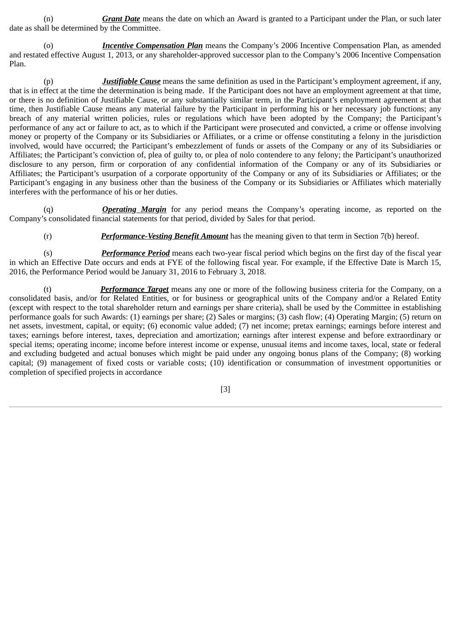(n) *Grant Date* means the date on which an Award is granted to a Participant under the Plan, or such later date as shall be determined by the Committee.

(o) *Incentive Compensation Plan* means the Company's 2006 Incentive Compensation Plan, as amended and restated effective August 1, 2013, or any shareholder-approved successor plan to the Company's 2006 Incentive Compensation Plan.

(p) *Justifiable Cause* means the same definition as used in the Participant's employment agreement, if any, that is in effect at the time the determination is being made. If the Participant does not have an employment agreement at that time, or there is no definition of Justifiable Cause, or any substantially similar term, in the Participant's employment agreement at that time, then Justifiable Cause means any material failure by the Participant in performing his or her necessary job functions; any breach of any material written policies, rules or regulations which have been adopted by the Company; the Participant's performance of any act or failure to act, as to which if the Participant were prosecuted and convicted, a crime or offense involving money or property of the Company or its Subsidiaries or Affiliates, or a crime or offense constituting a felony in the jurisdiction involved, would have occurred; the Participant's embezzlement of funds or assets of the Company or any of its Subsidiaries or Affiliates; the Participant's conviction of, plea of guilty to, or plea of nolo contendere to any felony; the Participant's unauthorized disclosure to any person, firm or corporation of any confidential information of the Company or any of its Subsidiaries or Affiliates; the Participant's usurpation of a corporate opportunity of the Company or any of its Subsidiaries or Affiliates; or the Participant's engaging in any business other than the business of the Company or its Subsidiaries or Affiliates which materially interferes with the performance of his or her duties.

(q) *Operating Margin* for any period means the Company's operating income, as reported on the Company's consolidated financial statements for that period, divided by Sales for that period.

(r) *Performance-Vesting Benefit Amount* has the meaning given to that term in Section 7(b) hereof.

(s) *Performance Period* means each two-year fiscal period which begins on the first day of the fiscal year in which an Effective Date occurs and ends at FYE of the following fiscal year. For example, if the Effective Date is March 15, 2016, the Performance Period would be January 31, 2016 to February 3, 2018.

(t) *Performance Target* means any one or more of the following business criteria for the Company, on a consolidated basis, and/or for Related Entities, or for business or geographical units of the Company and/or a Related Entity (except with respect to the total shareholder return and earnings per share criteria), shall be used by the Committee in establishing performance goals for such Awards: (1) earnings per share; (2) Sales or margins; (3) cash flow; (4) Operating Margin; (5) return on net assets, investment, capital, or equity; (6) economic value added; (7) net income; pretax earnings; earnings before interest and taxes; earnings before interest, taxes, depreciation and amortization; earnings after interest expense and before extraordinary or special items; operating income; income before interest income or expense, unusual items and income taxes, local, state or federal and excluding budgeted and actual bonuses which might be paid under any ongoing bonus plans of the Company; (8) working capital; (9) management of fixed costs or variable costs; (10) identification or consummation of investment opportunities or completion of specified projects in accordance

[3]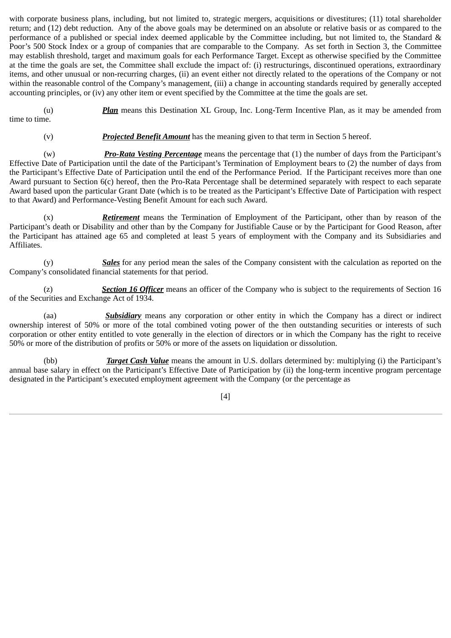with corporate business plans, including, but not limited to, strategic mergers, acquisitions or divestitures; (11) total shareholder return; and (12) debt reduction. Any of the above goals may be determined on an absolute or relative basis or as compared to the performance of a published or special index deemed applicable by the Committee including, but not limited to, the Standard & Poor's 500 Stock Index or a group of companies that are comparable to the Company. As set forth in Section 3, the Committee may establish threshold, target and maximum goals for each Performance Target. Except as otherwise specified by the Committee at the time the goals are set, the Committee shall exclude the impact of: (i) restructurings, discontinued operations, extraordinary items, and other unusual or non-recurring charges, (ii) an event either not directly related to the operations of the Company or not within the reasonable control of the Company's management, (iii) a change in accounting standards required by generally accepted accounting principles, or (iv) any other item or event specified by the Committee at the time the goals are set.

(u) *Plan* means this Destination XL Group, Inc. Long-Term Incentive Plan, as it may be amended from time to time.

(v) *Projected Benefit Amount* has the meaning given to that term in Section 5 hereof.

(w) *Pro-Rata Vesting Percentage* means the percentage that (1) the number of days from the Participant's Effective Date of Participation until the date of the Participant's Termination of Employment bears to (2) the number of days from the Participant's Effective Date of Participation until the end of the Performance Period. If the Participant receives more than one Award pursuant to Section 6(c) hereof, then the Pro-Rata Percentage shall be determined separately with respect to each separate Award based upon the particular Grant Date (which is to be treated as the Participant's Effective Date of Participation with respect to that Award) and Performance-Vesting Benefit Amount for each such Award.

(x) *Retirement* means the Termination of Employment of the Participant, other than by reason of the Participant's death or Disability and other than by the Company for Justifiable Cause or by the Participant for Good Reason, after the Participant has attained age 65 and completed at least 5 years of employment with the Company and its Subsidiaries and Affiliates.

(y) *Sales* for any period mean the sales of the Company consistent with the calculation as reported on the Company's consolidated financial statements for that period.

(z) *Section 16 Officer* means an officer of the Company who is subject to the requirements of Section 16 of the Securities and Exchange Act of 1934.

(aa) *Subsidiary* means any corporation or other entity in which the Company has a direct or indirect ownership interest of 50% or more of the total combined voting power of the then outstanding securities or interests of such corporation or other entity entitled to vote generally in the election of directors or in which the Company has the right to receive 50% or more of the distribution of profits or 50% or more of the assets on liquidation or dissolution.

(bb) *Target Cash Value* means the amount in U.S. dollars determined by: multiplying (i) the Participant's annual base salary in effect on the Participant's Effective Date of Participation by (ii) the long-term incentive program percentage designated in the Participant's executed employment agreement with the Company (or the percentage as

[4]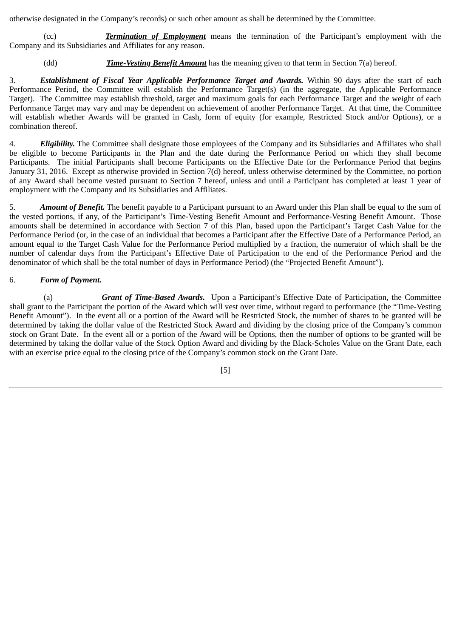otherwise designated in the Company's records) or such other amount as shall be determined by the Committee.

(cc) *Termination of Employment* means the termination of the Participant's employment with the Company and its Subsidiaries and Affiliates for any reason.

### (dd) *Time-Vesting Benefit Amount* has the meaning given to that term in Section 7(a) hereof.

3. *Establishment of Fiscal Year Applicable Performance Target and Awards.* Within 90 days after the start of each Performance Period, the Committee will establish the Performance Target(s) (in the aggregate, the Applicable Performance Target). The Committee may establish threshold, target and maximum goals for each Performance Target and the weight of each Performance Target may vary and may be dependent on achievement of another Performance Target. At that time, the Committee will establish whether Awards will be granted in Cash, form of equity (for example, Restricted Stock and/or Options), or a combination thereof.

4. *Eligibility.* The Committee shall designate those employees of the Company and its Subsidiaries and Affiliates who shall be eligible to become Participants in the Plan and the date during the Performance Period on which they shall become Participants. The initial Participants shall become Participants on the Effective Date for the Performance Period that begins January 31, 2016. Except as otherwise provided in Section 7(d) hereof, unless otherwise determined by the Committee, no portion of any Award shall become vested pursuant to Section 7 hereof, unless and until a Participant has completed at least 1 year of employment with the Company and its Subsidiaries and Affiliates.

5. *Amount of Benefit.* The benefit payable to a Participant pursuant to an Award under this Plan shall be equal to the sum of the vested portions, if any, of the Participant's Time-Vesting Benefit Amount and Performance-Vesting Benefit Amount. Those amounts shall be determined in accordance with Section 7 of this Plan, based upon the Participant's Target Cash Value for the Performance Period (or, in the case of an individual that becomes a Participant after the Effective Date of a Performance Period, an amount equal to the Target Cash Value for the Performance Period multiplied by a fraction, the numerator of which shall be the number of calendar days from the Participant's Effective Date of Participation to the end of the Performance Period and the denominator of which shall be the total number of days in Performance Period) (the "Projected Benefit Amount").

### 6. *Form of Payment.*

(a) *Grant of Time-Based Awards.* Upon a Participant's Effective Date of Participation, the Committee shall grant to the Participant the portion of the Award which will vest over time, without regard to performance (the "Time-Vesting Benefit Amount"). In the event all or a portion of the Award will be Restricted Stock, the number of shares to be granted will be determined by taking the dollar value of the Restricted Stock Award and dividing by the closing price of the Company's common stock on Grant Date. In the event all or a portion of the Award will be Options, then the number of options to be granted will be determined by taking the dollar value of the Stock Option Award and dividing by the Black-Scholes Value on the Grant Date, each with an exercise price equal to the closing price of the Company's common stock on the Grant Date.

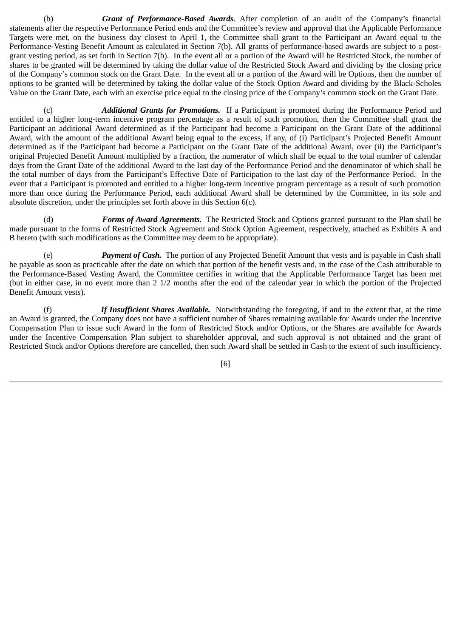(b) *Grant of Performance-Based Awards*. After completion of an audit of the Company's financial statements after the respective Performance Period ends and the Committee's review and approval that the Applicable Performance Targets were met, on the business day closest to April 1, the Committee shall grant to the Participant an Award equal to the Performance-Vesting Benefit Amount as calculated in Section 7(b). All grants of performance-based awards are subject to a postgrant vesting period, as set forth in Section 7(b). In the event all or a portion of the Award will be Restricted Stock, the number of shares to be granted will be determined by taking the dollar value of the Restricted Stock Award and dividing by the closing price of the Company's common stock on the Grant Date. In the event all or a portion of the Award will be Options, then the number of options to be granted will be determined by taking the dollar value of the Stock Option Award and dividing by the Black-Scholes Value on the Grant Date, each with an exercise price equal to the closing price of the Company's common stock on the Grant Date.

(c) *Additional Grants for Promotions.* If a Participant is promoted during the Performance Period and entitled to a higher long-term incentive program percentage as a result of such promotion, then the Committee shall grant the Participant an additional Award determined as if the Participant had become a Participant on the Grant Date of the additional Award, with the amount of the additional Award being equal to the excess, if any, of (i) Participant's Projected Benefit Amount determined as if the Participant had become a Participant on the Grant Date of the additional Award, over (ii) the Participant's original Projected Benefit Amount multiplied by a fraction, the numerator of which shall be equal to the total number of calendar days from the Grant Date of the additional Award to the last day of the Performance Period and the denominator of which shall be the total number of days from the Participant's Effective Date of Participation to the last day of the Performance Period. In the event that a Participant is promoted and entitled to a higher long-term incentive program percentage as a result of such promotion more than once during the Performance Period, each additional Award shall be determined by the Committee, in its sole and absolute discretion, under the principles set forth above in this Section 6(c).

(d) *Forms of Award Agreements.* The Restricted Stock and Options granted pursuant to the Plan shall be made pursuant to the forms of Restricted Stock Agreement and Stock Option Agreement, respectively, attached as Exhibits A and B hereto (with such modifications as the Committee may deem to be appropriate).

(e) *Payment of Cash.* The portion of any Projected Benefit Amount that vests and is payable in Cash shall be payable as soon as practicable after the date on which that portion of the benefit vests and, in the case of the Cash attributable to the Performance-Based Vesting Award, the Committee certifies in writing that the Applicable Performance Target has been met (but in either case, in no event more than 2 1/2 months after the end of the calendar year in which the portion of the Projected Benefit Amount vests).

(f) *If Insufficient Shares Available.* Notwithstanding the foregoing, if and to the extent that, at the time an Award is granted, the Company does not have a sufficient number of Shares remaining available for Awards under the Incentive Compensation Plan to issue such Award in the form of Restricted Stock and/or Options, or the Shares are available for Awards under the Incentive Compensation Plan subject to shareholder approval, and such approval is not obtained and the grant of Restricted Stock and/or Options therefore are cancelled, then such Award shall be settled in Cash to the extent of such insufficiency.

[6]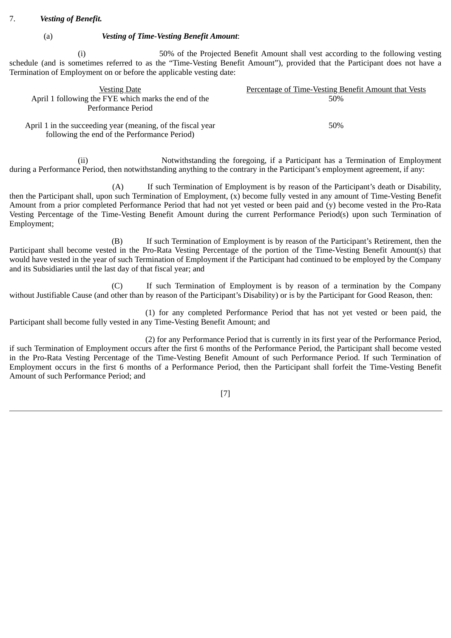### 7. *Vesting of Benefit.*

### (a) *Vesting of Time-Vesting Benefit Amount*:

(i) 50% of the Projected Benefit Amount shall vest according to the following vesting schedule (and is sometimes referred to as the "Time-Vesting Benefit Amount"), provided that the Participant does not have a Termination of Employment on or before the applicable vesting date:

| <b>Vesting Date</b>                                                                                         | Percentage of Time-Vesting Benefit Amount that Vests |
|-------------------------------------------------------------------------------------------------------------|------------------------------------------------------|
| April 1 following the FYE which marks the end of the                                                        | 50%                                                  |
| Performance Period                                                                                          |                                                      |
| April 1 in the succeeding year (meaning, of the fiscal year<br>following the end of the Performance Period) | 50%                                                  |

(ii) Notwithstanding the foregoing, if a Participant has a Termination of Employment during a Performance Period, then notwithstanding anything to the contrary in the Participant's employment agreement, if any:

(A) If such Termination of Employment is by reason of the Participant's death or Disability, then the Participant shall, upon such Termination of Employment, (x) become fully vested in any amount of Time-Vesting Benefit Amount from a prior completed Performance Period that had not yet vested or been paid and (y) become vested in the Pro-Rata Vesting Percentage of the Time-Vesting Benefit Amount during the current Performance Period(s) upon such Termination of Employment;

(B) If such Termination of Employment is by reason of the Participant's Retirement, then the Participant shall become vested in the Pro-Rata Vesting Percentage of the portion of the Time-Vesting Benefit Amount(s) that would have vested in the year of such Termination of Employment if the Participant had continued to be employed by the Company and its Subsidiaries until the last day of that fiscal year; and

(C) If such Termination of Employment is by reason of a termination by the Company without Justifiable Cause (and other than by reason of the Participant's Disability) or is by the Participant for Good Reason, then:

(1) for any completed Performance Period that has not yet vested or been paid, the Participant shall become fully vested in any Time-Vesting Benefit Amount; and

(2) for any Performance Period that is currently in its first year of the Performance Period, if such Termination of Employment occurs after the first 6 months of the Performance Period, the Participant shall become vested in the Pro-Rata Vesting Percentage of the Time-Vesting Benefit Amount of such Performance Period. If such Termination of Employment occurs in the first 6 months of a Performance Period, then the Participant shall forfeit the Time-Vesting Benefit Amount of such Performance Period; and

[7]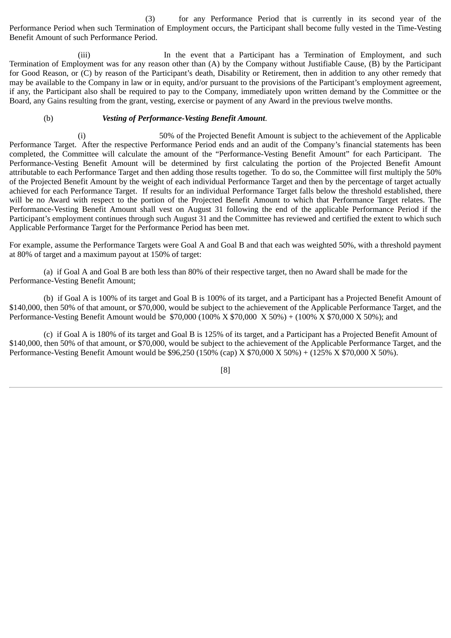(3) for any Performance Period that is currently in its second year of the Performance Period when such Termination of Employment occurs, the Participant shall become fully vested in the Time-Vesting Benefit Amount of such Performance Period.

(iii) In the event that a Participant has a Termination of Employment, and such Termination of Employment was for any reason other than (A) by the Company without Justifiable Cause, (B) by the Participant for Good Reason, or (C) by reason of the Participant's death, Disability or Retirement, then in addition to any other remedy that may be available to the Company in law or in equity, and/or pursuant to the provisions of the Participant's employment agreement, if any, the Participant also shall be required to pay to the Company, immediately upon written demand by the Committee or the Board, any Gains resulting from the grant, vesting, exercise or payment of any Award in the previous twelve months.

### (b) *Vesting of Performance-Vesting Benefit Amount*.

(i) 50% of the Projected Benefit Amount is subject to the achievement of the Applicable Performance Target. After the respective Performance Period ends and an audit of the Company's financial statements has been completed, the Committee will calculate the amount of the "Performance-Vesting Benefit Amount" for each Participant. The Performance-Vesting Benefit Amount will be determined by first calculating the portion of the Projected Benefit Amount attributable to each Performance Target and then adding those results together. To do so, the Committee will first multiply the 50% of the Projected Benefit Amount by the weight of each individual Performance Target and then by the percentage of target actually achieved for each Performance Target. If results for an individual Performance Target falls below the threshold established, there will be no Award with respect to the portion of the Projected Benefit Amount to which that Performance Target relates. The Performance-Vesting Benefit Amount shall vest on August 31 following the end of the applicable Performance Period if the Participant's employment continues through such August 31 and the Committee has reviewed and certified the extent to which such Applicable Performance Target for the Performance Period has been met.

For example, assume the Performance Targets were Goal A and Goal B and that each was weighted 50%, with a threshold payment at 80% of target and a maximum payout at 150% of target:

(a) if Goal A and Goal B are both less than 80% of their respective target, then no Award shall be made for the Performance-Vesting Benefit Amount;

(b) if Goal A is 100% of its target and Goal B is 100% of its target, and a Participant has a Projected Benefit Amount of \$140,000, then 50% of that amount, or \$70,000, would be subject to the achievement of the Applicable Performance Target, and the Performance-Vesting Benefit Amount would be \$70,000 (100% X \$70,000 X 50%) + (100% X \$70,000 X 50%); and

(c) if Goal A is 180% of its target and Goal B is 125% of its target, and a Participant has a Projected Benefit Amount of \$140,000, then 50% of that amount, or \$70,000, would be subject to the achievement of the Applicable Performance Target, and the Performance-Vesting Benefit Amount would be \$96,250 (150% (cap) X \$70,000 X 50%) + (125% X \$70,000 X 50%).

[8]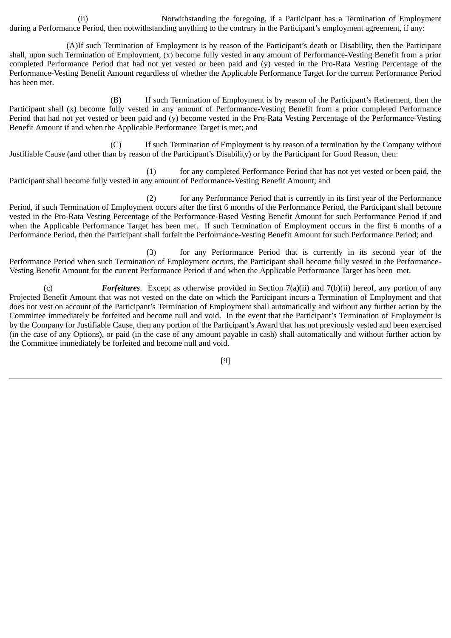(ii) Notwithstanding the foregoing, if a Participant has a Termination of Employment during a Performance Period, then notwithstanding anything to the contrary in the Participant's employment agreement, if any:

(A)If such Termination of Employment is by reason of the Participant's death or Disability, then the Participant shall, upon such Termination of Employment, (x) become fully vested in any amount of Performance-Vesting Benefit from a prior completed Performance Period that had not yet vested or been paid and (y) vested in the Pro-Rata Vesting Percentage of the Performance-Vesting Benefit Amount regardless of whether the Applicable Performance Target for the current Performance Period has been met.

(B) If such Termination of Employment is by reason of the Participant's Retirement, then the Participant shall (x) become fully vested in any amount of Performance-Vesting Benefit from a prior completed Performance Period that had not yet vested or been paid and (y) become vested in the Pro-Rata Vesting Percentage of the Performance-Vesting Benefit Amount if and when the Applicable Performance Target is met; and

(C) If such Termination of Employment is by reason of a termination by the Company without Justifiable Cause (and other than by reason of the Participant's Disability) or by the Participant for Good Reason, then:

(1) for any completed Performance Period that has not yet vested or been paid, the Participant shall become fully vested in any amount of Performance-Vesting Benefit Amount; and

(2) for any Performance Period that is currently in its first year of the Performance Period, if such Termination of Employment occurs after the first 6 months of the Performance Period, the Participant shall become vested in the Pro-Rata Vesting Percentage of the Performance-Based Vesting Benefit Amount for such Performance Period if and when the Applicable Performance Target has been met. If such Termination of Employment occurs in the first 6 months of a Performance Period, then the Participant shall forfeit the Performance-Vesting Benefit Amount for such Performance Period; and

(3) for any Performance Period that is currently in its second year of the Performance Period when such Termination of Employment occurs, the Participant shall become fully vested in the Performance-Vesting Benefit Amount for the current Performance Period if and when the Applicable Performance Target has been met.

(c) *Forfeitures*. Except as otherwise provided in Section 7(a)(ii) and 7(b)(ii) hereof, any portion of any Projected Benefit Amount that was not vested on the date on which the Participant incurs a Termination of Employment and that does not vest on account of the Participant's Termination of Employment shall automatically and without any further action by the Committee immediately be forfeited and become null and void. In the event that the Participant's Termination of Employment is by the Company for Justifiable Cause, then any portion of the Participant's Award that has not previously vested and been exercised (in the case of any Options), or paid (in the case of any amount payable in cash) shall automatically and without further action by the Committee immediately be forfeited and become null and void.

[9]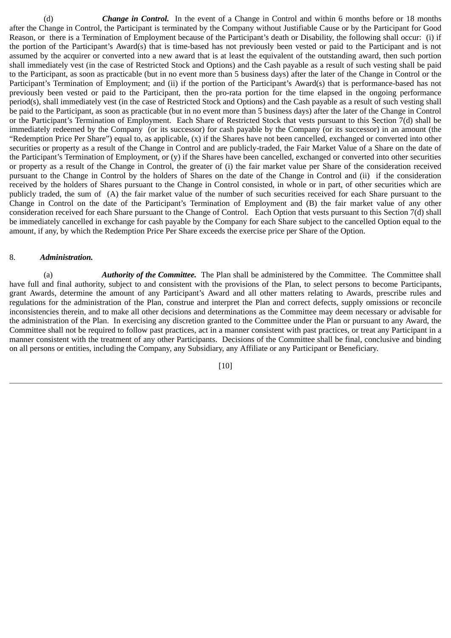(d) *Change in Control.* In the event of a Change in Control and within 6 months before or 18 months after the Change in Control, the Participant is terminated by the Company without Justifiable Cause or by the Participant for Good Reason, or there is a Termination of Employment because of the Participant's death or Disability, the following shall occur: (i) if the portion of the Participant's Award(s) that is time-based has not previously been vested or paid to the Participant and is not assumed by the acquirer or converted into a new award that is at least the equivalent of the outstanding award, then such portion shall immediately vest (in the case of Restricted Stock and Options) and the Cash payable as a result of such vesting shall be paid to the Participant, as soon as practicable (but in no event more than 5 business days) after the later of the Change in Control or the Participant's Termination of Employment; and (ii) if the portion of the Participant's Award(s) that is performance-based has not previously been vested or paid to the Participant, then the pro-rata portion for the time elapsed in the ongoing performance period(s), shall immediately vest (in the case of Restricted Stock and Options) and the Cash payable as a result of such vesting shall be paid to the Participant, as soon as practicable (but in no event more than 5 business days) after the later of the Change in Control or the Participant's Termination of Employment. Each Share of Restricted Stock that vests pursuant to this Section 7(d) shall be immediately redeemed by the Company (or its successor) for cash payable by the Company (or its successor) in an amount (the "Redemption Price Per Share") equal to, as applicable, (x) if the Shares have not been cancelled, exchanged or converted into other securities or property as a result of the Change in Control and are publicly-traded, the Fair Market Value of a Share on the date of the Participant's Termination of Employment, or (y) if the Shares have been cancelled, exchanged or converted into other securities or property as a result of the Change in Control, the greater of (i) the fair market value per Share of the consideration received pursuant to the Change in Control by the holders of Shares on the date of the Change in Control and (ii) if the consideration received by the holders of Shares pursuant to the Change in Control consisted, in whole or in part, of other securities which are publicly traded, the sum of (A) the fair market value of the number of such securities received for each Share pursuant to the Change in Control on the date of the Participant's Termination of Employment and (B) the fair market value of any other consideration received for each Share pursuant to the Change of Control. Each Option that vests pursuant to this Section 7(d) shall be immediately cancelled in exchange for cash payable by the Company for each Share subject to the cancelled Option equal to the amount, if any, by which the Redemption Price Per Share exceeds the exercise price per Share of the Option.

#### 8. *Administration.*

(a) *Authority of the Committee.* The Plan shall be administered by the Committee. The Committee shall have full and final authority, subject to and consistent with the provisions of the Plan, to select persons to become Participants, grant Awards, determine the amount of any Participant's Award and all other matters relating to Awards, prescribe rules and regulations for the administration of the Plan, construe and interpret the Plan and correct defects, supply omissions or reconcile inconsistencies therein, and to make all other decisions and determinations as the Committee may deem necessary or advisable for the administration of the Plan. In exercising any discretion granted to the Committee under the Plan or pursuant to any Award, the Committee shall not be required to follow past practices, act in a manner consistent with past practices, or treat any Participant in a manner consistent with the treatment of any other Participants. Decisions of the Committee shall be final, conclusive and binding on all persons or entities, including the Company, any Subsidiary, any Affiliate or any Participant or Beneficiary.

[10]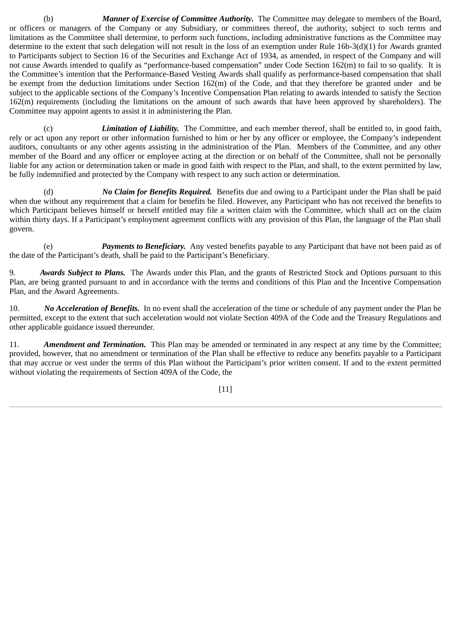(b) *Manner of Exercise of Committee Authority.* The Committee may delegate to members of the Board, or officers or managers of the Company or any Subsidiary, or committees thereof, the authority, subject to such terms and limitations as the Committee shall determine, to perform such functions, including administrative functions as the Committee may determine to the extent that such delegation will not result in the loss of an exemption under Rule 16b-3(d)(1) for Awards granted to Participants subject to Section 16 of the Securities and Exchange Act of 1934, as amended, in respect of the Company and will not cause Awards intended to qualify as "performance-based compensation" under Code Section 162(m) to fail to so qualify. It is the Committee's intention that the Performance-Based Vesting Awards shall qualify as performance-based compensation that shall be exempt from the deduction limitations under Section 162(m) of the Code, and that they therefore be granted under and be subject to the applicable sections of the Company's Incentive Compensation Plan relating to awards intended to satisfy the Section 162(m) requirements (including the limitations on the amount of such awards that have been approved by shareholders). The Committee may appoint agents to assist it in administering the Plan.

(c) *Limitation of Liability.* The Committee, and each member thereof, shall be entitled to, in good faith, rely or act upon any report or other information furnished to him or her by any officer or employee, the Company's independent auditors, consultants or any other agents assisting in the administration of the Plan. Members of the Committee, and any other member of the Board and any officer or employee acting at the direction or on behalf of the Committee, shall not be personally liable for any action or determination taken or made in good faith with respect to the Plan, and shall, to the extent permitted by law, be fully indemnified and protected by the Company with respect to any such action or determination.

(d) *No Claim for Benefits Required.* Benefits due and owing to a Participant under the Plan shall be paid when due without any requirement that a claim for benefits be filed. However, any Participant who has not received the benefits to which Participant believes himself or herself entitled may file a written claim with the Committee, which shall act on the claim within thirty days. If a Participant's employment agreement conflicts with any provision of this Plan, the language of the Plan shall govern.

(e) *Payments to Beneficiary.* Any vested benefits payable to any Participant that have not been paid as of the date of the Participant's death, shall be paid to the Participant's Beneficiary.

9. *Awards Subject to Plans.* The Awards under this Plan, and the grants of Restricted Stock and Options pursuant to this Plan, are being granted pursuant to and in accordance with the terms and conditions of this Plan and the Incentive Compensation Plan, and the Award Agreements.

10. *No Acceleration of Benefits.* In no event shall the acceleration of the time or schedule of any payment under the Plan be permitted, except to the extent that such acceleration would not violate Section 409A of the Code and the Treasury Regulations and other applicable guidance issued thereunder.

11. *Amendment and Termination.* This Plan may be amended or terminated in any respect at any time by the Committee; provided, however, that no amendment or termination of the Plan shall be effective to reduce any benefits payable to a Participant that may accrue or vest under the terms of this Plan without the Participant's prior written consent. If and to the extent permitted without violating the requirements of Section 409A of the Code, the

[11]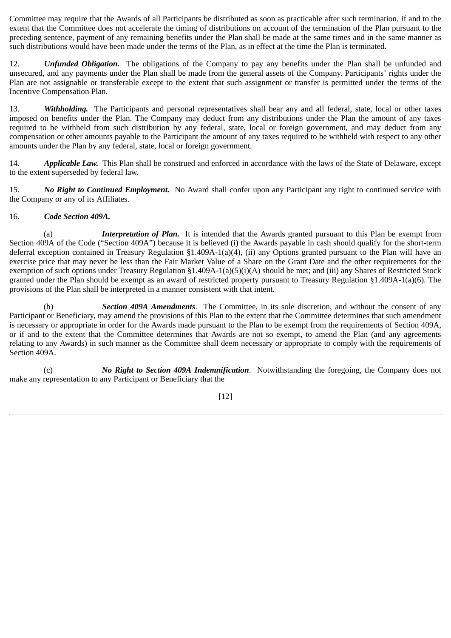Committee may require that the Awards of all Participants be distributed as soon as practicable after such termination. If and to the extent that the Committee does not accelerate the timing of distributions on account of the termination of the Plan pursuant to the preceding sentence, payment of any remaining benefits under the Plan shall be made at the same times and in the same manner as such distributions would have been made under the terms of the Plan, as in effect at the time the Plan is terminated*.*

12. *Unfunded Obligation.* The obligations of the Company to pay any benefits under the Plan shall be unfunded and unsecured, and any payments under the Plan shall be made from the general assets of the Company. Participants' rights under the Plan are not assignable or transferable except to the extent that such assignment or transfer is permitted under the terms of the Incentive Compensation Plan.

13. *Withholding.* The Participants and personal representatives shall bear any and all federal, state, local or other taxes imposed on benefits under the Plan. The Company may deduct from any distributions under the Plan the amount of any taxes required to be withheld from such distribution by any federal, state, local or foreign government, and may deduct from any compensation or other amounts payable to the Participant the amount of any taxes required to be withheld with respect to any other amounts under the Plan by any federal, state, local or foreign government.

14. *Applicable Law.* This Plan shall be construed and enforced in accordance with the laws of the State of Delaware, except to the extent superseded by federal law.

15. *No Right to Continued Employment.* No Award shall confer upon any Participant any right to continued service with the Company or any of its Affiliates.

### 16. *Code Section 409A.*

(a) *Interpretation of Plan.* It is intended that the Awards granted pursuant to this Plan be exempt from Section 409A of the Code ("Section 409A") because it is believed (i) the Awards payable in cash should qualify for the short-term deferral exception contained in Treasury Regulation §1.409A-1(a)(4), (ii) any Options granted pursuant to the Plan will have an exercise price that may never be less than the Fair Market Value of a Share on the Grant Date and the other requirements for the exemption of such options under Treasury Regulation §1.409A-1(a)(5)(i)(A) should be met; and (iii) any Shares of Restricted Stock granted under the Plan should be exempt as an award of restricted property pursuant to Treasury Regulation §1.409A-1(a)(6). The provisions of the Plan shall be interpreted in a manner consistent with that intent.

(b) *Section 409A Amendments*. The Committee, in its sole discretion, and without the consent of any Participant or Beneficiary, may amend the provisions of this Plan to the extent that the Committee determines that such amendment is necessary or appropriate in order for the Awards made pursuant to the Plan to be exempt from the requirements of Section 409A, or if and to the extent that the Committee determines that Awards are not so exempt, to amend the Plan (and any agreements relating to any Awards) in such manner as the Committee shall deem necessary or appropriate to comply with the requirements of Section 409A.

(c) *No Right to Section 409A Indemnification*. Notwithstanding the foregoing, the Company does not make any representation to any Participant or Beneficiary that the

[12]